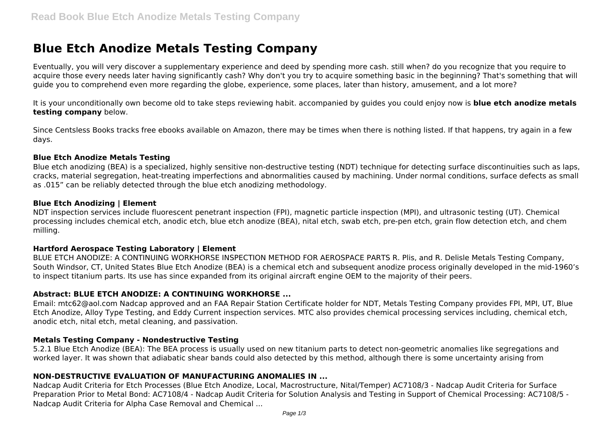# **Blue Etch Anodize Metals Testing Company**

Eventually, you will very discover a supplementary experience and deed by spending more cash. still when? do you recognize that you require to acquire those every needs later having significantly cash? Why don't you try to acquire something basic in the beginning? That's something that will guide you to comprehend even more regarding the globe, experience, some places, later than history, amusement, and a lot more?

It is your unconditionally own become old to take steps reviewing habit. accompanied by guides you could enjoy now is **blue etch anodize metals testing company** below.

Since Centsless Books tracks free ebooks available on Amazon, there may be times when there is nothing listed. If that happens, try again in a few days.

#### **Blue Etch Anodize Metals Testing**

Blue etch anodizing (BEA) is a specialized, highly sensitive non-destructive testing (NDT) technique for detecting surface discontinuities such as laps, cracks, material segregation, heat-treating imperfections and abnormalities caused by machining. Under normal conditions, surface defects as small as .015" can be reliably detected through the blue etch anodizing methodology.

#### **Blue Etch Anodizing | Element**

NDT inspection services include fluorescent penetrant inspection (FPI), magnetic particle inspection (MPI), and ultrasonic testing (UT). Chemical processing includes chemical etch, anodic etch, blue etch anodize (BEA), nital etch, swab etch, pre-pen etch, grain flow detection etch, and chem milling.

## **Hartford Aerospace Testing Laboratory | Element**

BLUE ETCH ANODIZE: A CONTINUING WORKHORSE INSPECTION METHOD FOR AEROSPACE PARTS R. Plis, and R. Delisle Metals Testing Company, South Windsor, CT, United States Blue Etch Anodize (BEA) is a chemical etch and subsequent anodize process originally developed in the mid-1960's to inspect titanium parts. Its use has since expanded from its original aircraft engine OEM to the majority of their peers.

## **Abstract: BLUE ETCH ANODIZE: A CONTINUING WORKHORSE ...**

Email: mtc62@aol.com Nadcap approved and an FAA Repair Station Certificate holder for NDT, Metals Testing Company provides FPI, MPI, UT, Blue Etch Anodize, Alloy Type Testing, and Eddy Current inspection services. MTC also provides chemical processing services including, chemical etch, anodic etch, nital etch, metal cleaning, and passivation.

## **Metals Testing Company - Nondestructive Testing**

5.2.1 Blue Etch Anodize (BEA): The BEA process is usually used on new titanium parts to detect non-geometric anomalies like segregations and worked layer. It was shown that adiabatic shear bands could also detected by this method, although there is some uncertainty arising from

## **NON-DESTRUCTIVE EVALUATION OF MANUFACTURING ANOMALIES IN ...**

Nadcap Audit Criteria for Etch Processes (Blue Etch Anodize, Local, Macrostructure, Nital/Temper) AC7108/3 - Nadcap Audit Criteria for Surface Preparation Prior to Metal Bond: AC7108/4 - Nadcap Audit Criteria for Solution Analysis and Testing in Support of Chemical Processing: AC7108/5 - Nadcap Audit Criteria for Alpha Case Removal and Chemical ...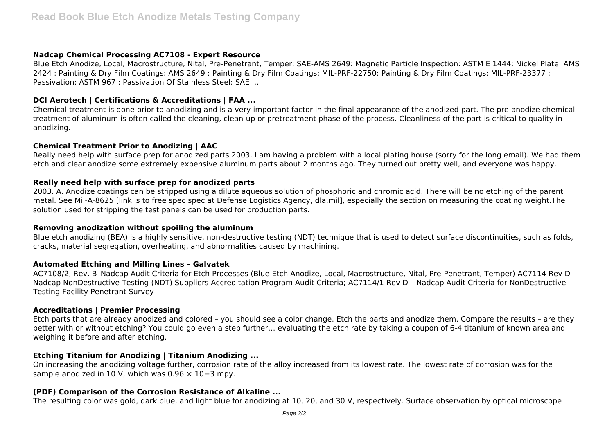#### **Nadcap Chemical Processing AC7108 - Expert Resource**

Blue Etch Anodize, Local, Macrostructure, Nital, Pre-Penetrant, Temper: SAE-AMS 2649: Magnetic Particle Inspection: ASTM E 1444: Nickel Plate: AMS 2424 : Painting & Dry Film Coatings: AMS 2649 : Painting & Dry Film Coatings: MIL-PRF-22750: Painting & Dry Film Coatings: MIL-PRF-23377 : Passivation: ASTM 967 : Passivation Of Stainless Steel: SAE ...

## **DCI Aerotech | Certifications & Accreditations | FAA ...**

Chemical treatment is done prior to anodizing and is a very important factor in the final appearance of the anodized part. The pre-anodize chemical treatment of aluminum is often called the cleaning, clean-up or pretreatment phase of the process. Cleanliness of the part is critical to quality in anodizing.

## **Chemical Treatment Prior to Anodizing | AAC**

Really need help with surface prep for anodized parts 2003. I am having a problem with a local plating house (sorry for the long email). We had them etch and clear anodize some extremely expensive aluminum parts about 2 months ago. They turned out pretty well, and everyone was happy.

## **Really need help with surface prep for anodized parts**

2003. A. Anodize coatings can be stripped using a dilute aqueous solution of phosphoric and chromic acid. There will be no etching of the parent metal. See Mil-A-8625 [link is to free spec spec at Defense Logistics Agency, dla.mil], especially the section on measuring the coating weight.The solution used for stripping the test panels can be used for production parts.

## **Removing anodization without spoiling the aluminum**

Blue etch anodizing (BEA) is a highly sensitive, non-destructive testing (NDT) technique that is used to detect surface discontinuities, such as folds, cracks, material segregation, overheating, and abnormalities caused by machining.

## **Automated Etching and Milling Lines – Galvatek**

AC7108/2, Rev. B–Nadcap Audit Criteria for Etch Processes (Blue Etch Anodize, Local, Macrostructure, Nital, Pre-Penetrant, Temper) AC7114 Rev D – Nadcap NonDestructive Testing (NDT) Suppliers Accreditation Program Audit Criteria; AC7114/1 Rev D – Nadcap Audit Criteria for NonDestructive Testing Facility Penetrant Survey

## **Accreditations | Premier Processing**

Etch parts that are already anodized and colored – you should see a color change. Etch the parts and anodize them. Compare the results – are they better with or without etching? You could go even a step further… evaluating the etch rate by taking a coupon of 6-4 titanium of known area and weighing it before and after etching.

## **Etching Titanium for Anodizing | Titanium Anodizing ...**

On increasing the anodizing voltage further, corrosion rate of the alloy increased from its lowest rate. The lowest rate of corrosion was for the sample anodized in 10 V, which was 0.96 × 10−3 mpy.

## **(PDF) Comparison of the Corrosion Resistance of Alkaline ...**

The resulting color was gold, dark blue, and light blue for anodizing at 10, 20, and 30 V, respectively. Surface observation by optical microscope